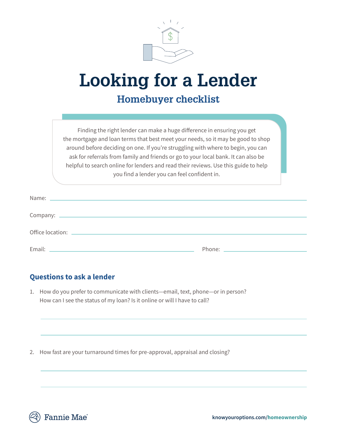

## **Looking for a Lender**

## **Homebuyer checklist**

Finding the right lender can make a huge difference in ensuring you get the mortgage and loan terms that best meet your needs, so it may be good to shop around before deciding on one. If you're struggling with where to begin, you can ask for referrals from family and friends or go to your local bank. It can also be helpful to search online for lenders and read their reviews. Use this guide to help you find a lender you can feel confident in.

## **Questions to ask a lender**

1. How do you prefer to communicate with clients—email, text, phone—or in person? How can I see the status of my loan? Is it online or will I have to call?

2. How fast are your turnaround times for pre-approval, appraisal and closing?

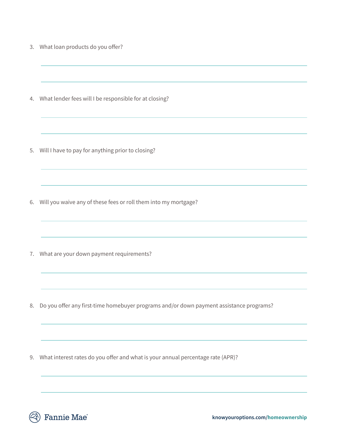3. What loan products do you offer?

4. What lender fees will I be responsible for at closing?

5. Will I have to pay for anything prior to closing?

6. Will you waive any of these fees or roll them into my mortgage?

7. What are your down payment requirements?

8. Do you offer any first-time homebuyer programs and/or down payment assistance programs?

9. What interest rates do you offer and what is your annual percentage rate (APR)?